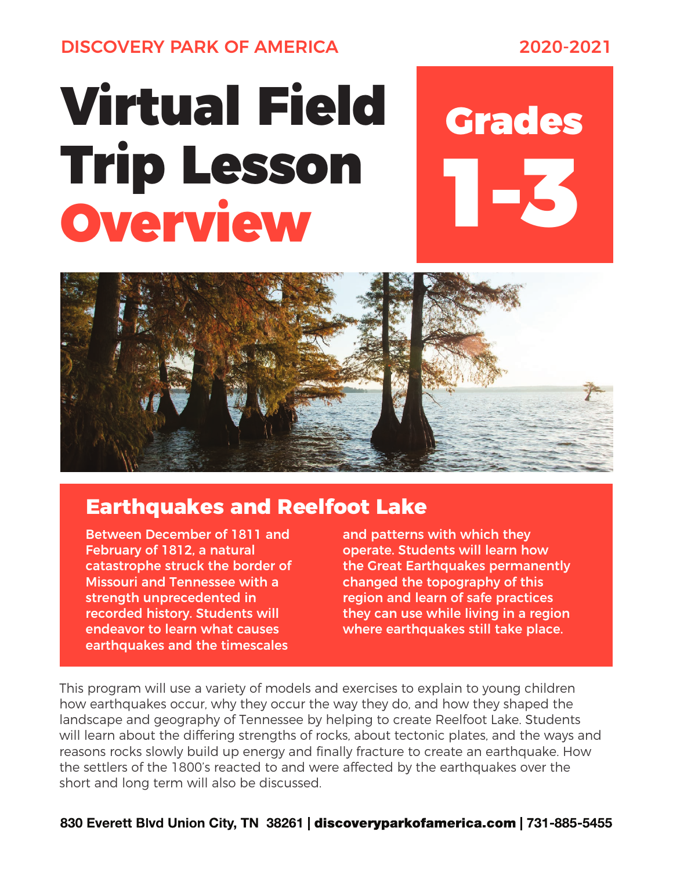DISCOVERY PARK OF AMERICA 2020-2021

## Virtual Field Grades Trip Lesson Overview

1-3



## **Earthquakes and Reelfoot Lake**

Between December of 1811 and February of 1812, a natural catastrophe struck the border of Missouri and Tennessee with a strength unprecedented in recorded history. Students will endeavor to learn what causes earthquakes and the timescales

and patterns with which they operate. Students will learn how the Great Earthquakes permanently changed the topography of this region and learn of safe practices they can use while living in a region where earthquakes still take place.

This program will use a variety of models and exercises to explain to young children how earthquakes occur, why they occur the way they do, and how they shaped the landscape and geography of Tennessee by helping to create Reelfoot Lake. Students will learn about the differing strengths of rocks, about tectonic plates, and the ways and reasons rocks slowly build up energy and finally fracture to create an earthquake. How the settlers of the 1800's reacted to and were affected by the earthquakes over the short and long term will also be discussed.